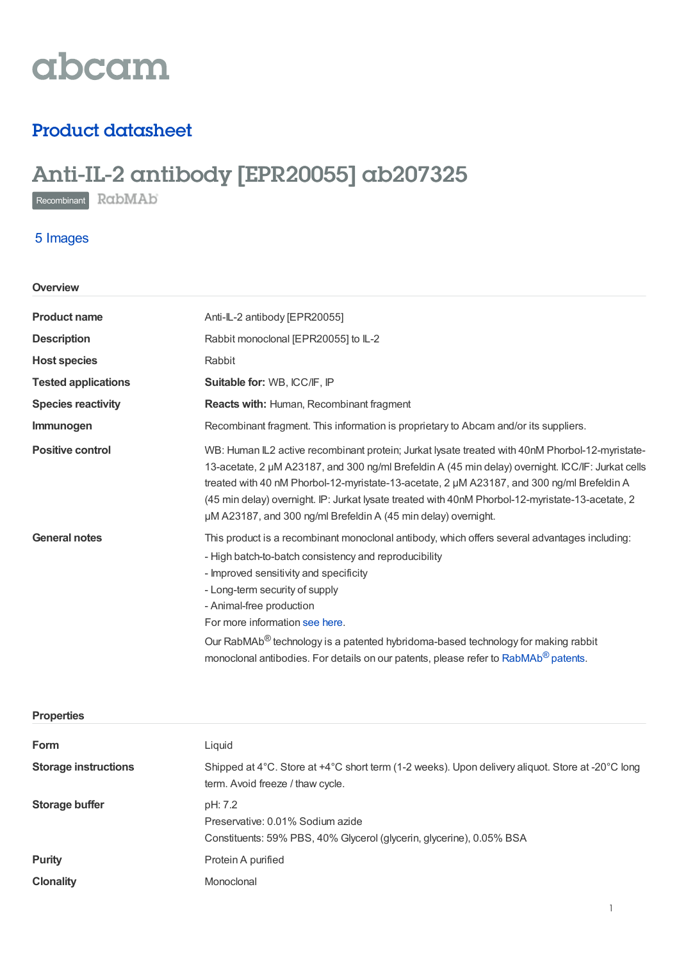

# Product datasheet

# Anti-IL-2 antibody [EPR20055] ab207325

Recombinant RabMAb

# 5 Images

| Overview                   |                                                                                                                                                                                                                                                                                                                                                                                                                                                                                                      |  |
|----------------------------|------------------------------------------------------------------------------------------------------------------------------------------------------------------------------------------------------------------------------------------------------------------------------------------------------------------------------------------------------------------------------------------------------------------------------------------------------------------------------------------------------|--|
| <b>Product name</b>        | Anti-IL-2 antibody [EPR20055]                                                                                                                                                                                                                                                                                                                                                                                                                                                                        |  |
| <b>Description</b>         | Rabbit monoclonal [EPR20055] to IL-2                                                                                                                                                                                                                                                                                                                                                                                                                                                                 |  |
| <b>Host species</b>        | Rabbit                                                                                                                                                                                                                                                                                                                                                                                                                                                                                               |  |
| <b>Tested applications</b> | Suitable for: WB, ICC/IF, IP                                                                                                                                                                                                                                                                                                                                                                                                                                                                         |  |
| <b>Species reactivity</b>  | Reacts with: Human, Recombinant fragment                                                                                                                                                                                                                                                                                                                                                                                                                                                             |  |
| Immunogen                  | Recombinant fragment. This information is proprietary to Abcam and/or its suppliers.                                                                                                                                                                                                                                                                                                                                                                                                                 |  |
| <b>Positive control</b>    | WB: Human IL2 active recombinant protein; Jurkat lysate treated with 40nM Phorbol-12-myristate-<br>13-acetate, 2 µM A23187, and 300 ng/ml Brefeldin A (45 min delay) overnight. ICC/IF: Jurkat cells<br>treated with 40 nM Phorbol-12-myristate-13-acetate, 2 µM A23187, and 300 ng/ml Brefeldin A<br>(45 min delay) overnight. IP: Jurkat Iysate treated with 40nM Phorbol-12-myristate-13-acetate, 2<br>µM A23187, and 300 ng/ml Brefeldin A (45 min delay) overnight.                             |  |
| <b>General notes</b>       | This product is a recombinant monoclonal antibody, which offers several advantages including:<br>- High batch-to-batch consistency and reproducibility<br>- Improved sensitivity and specificity<br>- Long-term security of supply<br>- Animal-free production<br>For more information see here.<br>Our RabMAb <sup>®</sup> technology is a patented hybridoma-based technology for making rabbit<br>monoclonal antibodies. For details on our patents, please refer to RabMAb <sup>®</sup> patents. |  |

| <b>Properties</b>           |                                                                                                                                      |
|-----------------------------|--------------------------------------------------------------------------------------------------------------------------------------|
| Form                        | Liquid                                                                                                                               |
| <b>Storage instructions</b> | Shipped at 4°C. Store at +4°C short term (1-2 weeks). Upon delivery aliquot. Store at -20°C long<br>term. Avoid freeze / thaw cycle. |
| Storage buffer              | pH: 7.2<br>Preservative: 0.01% Sodium azide<br>Constituents: 59% PBS, 40% Glycerol (glycerin, glycerine), 0.05% BSA                  |
| <b>Purity</b>               | Protein A purified                                                                                                                   |
| <b>Clonality</b>            | Monoclonal                                                                                                                           |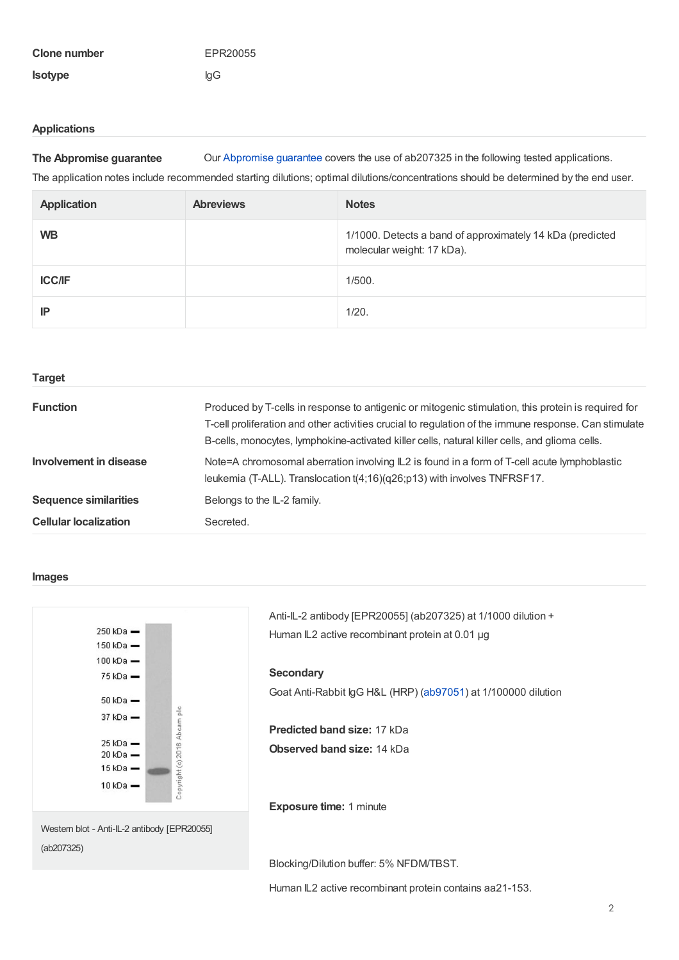| Clone number   | EPR20055 |
|----------------|----------|
| <b>Isotype</b> | lgG      |

## **Applications**

**The Abpromise guarantee** Our [Abpromise](https://www.abcam.com/abpromise) guarantee covers the use of ab207325 in the following tested applications.

The application notes include recommended starting dilutions; optimal dilutions/concentrations should be determined by the end user.

| <b>Application</b> | <b>Abreviews</b> | <b>Notes</b>                                                                            |
|--------------------|------------------|-----------------------------------------------------------------------------------------|
| <b>WB</b>          |                  | 1/1000. Detects a band of approximately 14 kDa (predicted<br>molecular weight: 17 kDa). |
| <b>ICC/IF</b>      |                  | 1/500.                                                                                  |
| IP                 |                  | 1/20.                                                                                   |

| <b>Target</b>                |                                                                                                                                                                                                                                                                                                                |
|------------------------------|----------------------------------------------------------------------------------------------------------------------------------------------------------------------------------------------------------------------------------------------------------------------------------------------------------------|
| <b>Function</b>              | Produced by T-cells in response to antigenic or mitogenic stimulation, this protein is required for<br>T-cell proliferation and other activities crucial to regulation of the immune response. Can stimulate<br>B-cells, monocytes, lymphokine-activated killer cells, natural killer cells, and glioma cells. |
| Involvement in disease       | Note=A chromosomal aberration involving IL2 is found in a form of T-cell acute lymphoblastic<br>leukemia (T-ALL). Translocation $t(4;16)(q26;p13)$ with involves TNFRSF17.                                                                                                                                     |
| <b>Sequence similarities</b> | Belongs to the IL-2 family.                                                                                                                                                                                                                                                                                    |
| <b>Cellular localization</b> | Secreted.                                                                                                                                                                                                                                                                                                      |

#### **Images**



Anti-IL-2 antibody [EPR20055] (ab207325) at 1/1000 dilution + Human IL2 active recombinant protein at 0.01 µg

# **Secondary**

Goat Anti-Rabbit IgG H&L (HRP) [\(ab97051](https://www.abcam.com/ab97051.html)) at 1/100000 dilution

**Predicted band size:** 17 kDa **Observed band size:** 14 kDa

**Exposure time:** 1 minute

Blocking/Dilution buffer: 5% NFDM/TBST.

Human IL2 active recombinant protein contains aa21-153.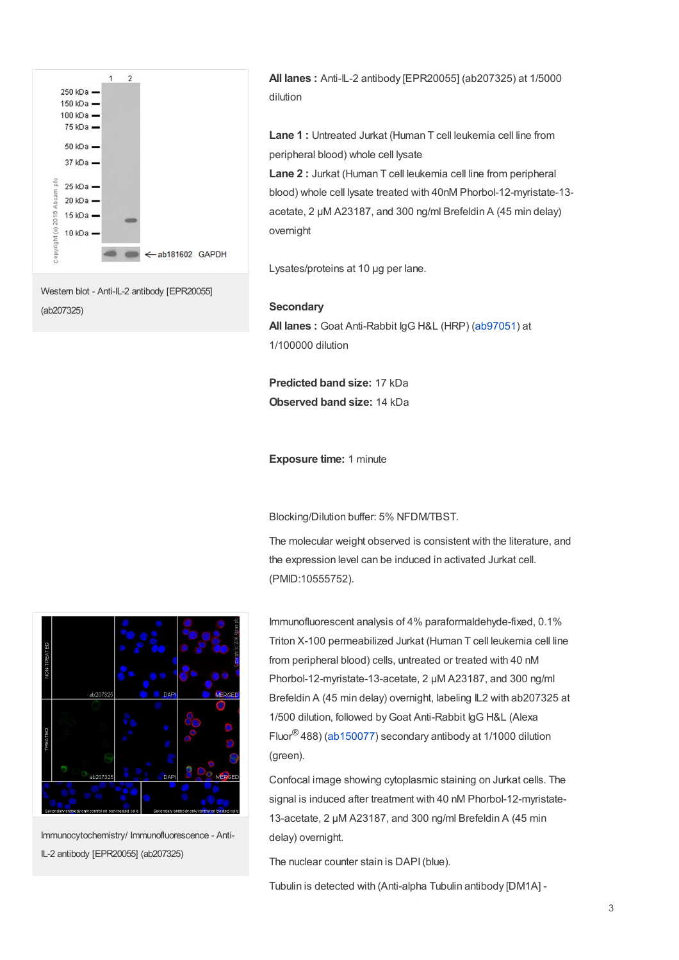

**All lanes :** Anti-IL-2 antibody [EPR20055] (ab207325) at 1/5000 dilution

**Lane 1 :** Untreated Jurkat (Human T cell leukemia cell line from peripheral blood) whole cell lysate

**Lane 2 :** Jurkat (Human T cell leukemia cell line from peripheral blood) whole cell lysate treated with 40nM Phorbol-12-myristate-13 acetate, 2 µM A23187, and 300 ng/ml Brefeldin A (45 min delay) overnight

Lysates/proteins at 10 µg per lane.

## **Secondary**

**All lanes :** Goat Anti-Rabbit IgG H&L (HRP) [\(ab97051](https://www.abcam.com/ab97051.html)) at 1/100000 dilution

**Predicted band size:** 17 kDa **Observed band size:** 14 kDa

**Exposure time:** 1 minute

Blocking/Dilution buffer: 5% NFDM/TBST.

The molecular weight observed is consistent with the literature, and the expression level can be induced in activated Jurkat cell. (PMID:10555752).



Immunocytochemistry/ Immunofluorescence - Anti-IL-2 antibody [EPR20055] (ab207325)

Immunofluorescent analysis of 4% paraformaldehyde-fixed, 0.1% Triton X-100 permeabilized Jurkat (Human T cell leukemia cell line from peripheral blood) cells, untreated or treated with 40 nM Phorbol-12-myristate-13-acetate, 2 μM A23187, and 300 ng/ml Brefeldin A (45 min delay) overnight, labeling IL2 with ab207325 at 1/500 dilution, followed by Goat Anti-Rabbit IgG H&L (Alexa Fluor ${}^{\circledR}$ 488) [\(ab150077](https://www.abcam.com/ab150077.html)) secondary antibody at 1/1000 dilution (green).

Confocal image showing cytoplasmic staining on Jurkat cells. The signal is induced after treatment with 40 nM Phorbol-12-myristate-13-acetate, 2 μM A23187, and 300 ng/ml Brefeldin A (45 min delay) overnight.

The nuclear counter stain is DAPI(blue).

Tubulin is detected with (Anti-alpha Tubulin antibody [DM1A] -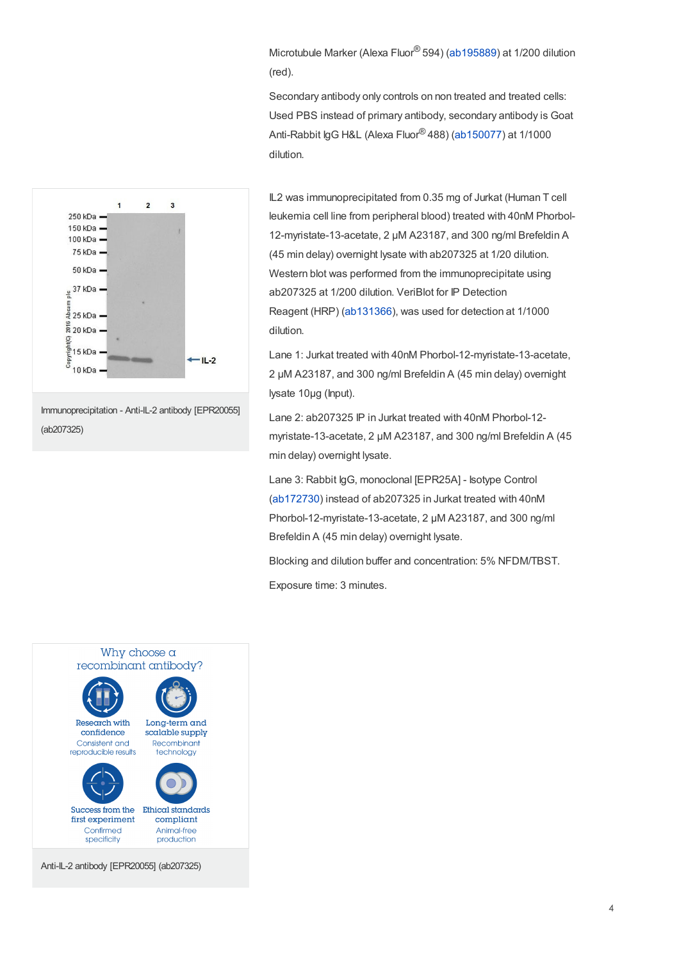Microtubule Marker (Alexa Fluor® 594) [\(ab195889](https://www.abcam.com/ab195889.html)) at 1/200 dilution (red).

Secondary antibody only controls on non treated and treated cells: Used PBS instead of primary antibody, secondary antibody is Goat Anti-Rabbit IgG H&L (Alexa Fluor<sup>®</sup> 488) [\(ab150077](https://www.abcam.com/ab150077.html)) at 1/1000 dilution.



Immunoprecipitation - Anti-IL-2 antibody [EPR20055] (ab207325)

IL2 was immunoprecipitated from 0.35 mg of Jurkat (Human T cell leukemia cell line from peripheral blood) treated with 40nM Phorbol-12-myristate-13-acetate, 2 μM A23187, and 300 ng/ml Brefeldin A (45 min delay) overnight lysate with ab207325 at 1/20 dilution. Western blot was performed from the immunoprecipitate using ab207325 at 1/200 dilution. VeriBlot for IP Detection Reagent (HRP) [\(ab131366](https://www.abcam.com/ab131366.html)), was used for detection at 1/1000 dilution.

Lane 1: Jurkat treated with 40nM Phorbol-12-myristate-13-acetate, 2 μM A23187, and 300 ng/ml Brefeldin A (45 min delay) overnight lysate 10µg (Input).

Lane 2: ab207325 IP in Jurkat treated with 40nM Phorbol-12 myristate-13-acetate, 2 μM A23187, and 300 ng/ml Brefeldin A (45 min delay) overnight lysate.

Lane 3: Rabbit IgG, monoclonal [EPR25A] - Isotype Control ([ab172730](https://www.abcam.com/ab172730.html)) instead of ab207325 in Jurkat treated with 40nM Phorbol-12-myristate-13-acetate, 2 μM A23187, and 300 ng/ml Brefeldin A (45 min delay) overnight lysate.

Blocking and dilution buffer and concentration: 5% NFDM/TBST.

Exposure time: 3 minutes.